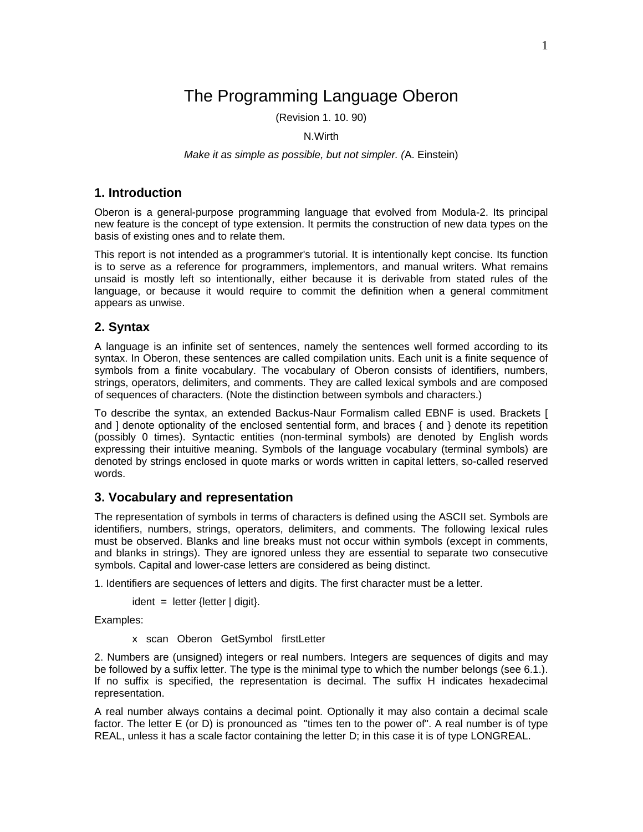# The Programming Language Oberon

(Revision 1. 10. 90)

## N.Wirth

#### *Make it as simple as possible, but not simpler. (*A. Einstein)

# **1. Introduction**

Oberon is a general-purpose programming language that evolved from Modula-2. Its principal new feature is the concept of type extension. It permits the construction of new data types on the basis of existing ones and to relate them.

This report is not intended as a programmer's tutorial. It is intentionally kept concise. Its function is to serve as a reference for programmers, implementors, and manual writers. What remains unsaid is mostly left so intentionally, either because it is derivable from stated rules of the language, or because it would require to commit the definition when a general commitment appears as unwise.

# **2. Syntax**

A language is an infinite set of sentences, namely the sentences well formed according to its syntax. In Oberon, these sentences are called compilation units. Each unit is a finite sequence of symbols from a finite vocabulary. The vocabulary of Oberon consists of identifiers, numbers, strings, operators, delimiters, and comments. They are called lexical symbols and are composed of sequences of characters. (Note the distinction between symbols and characters.)

To describe the syntax, an extended Backus-Naur Formalism called EBNF is used. Brackets [ and ] denote optionality of the enclosed sentential form, and braces { and } denote its repetition (possibly 0 times). Syntactic entities (non-terminal symbols) are denoted by English words expressing their intuitive meaning. Symbols of the language vocabulary (terminal symbols) are denoted by strings enclosed in quote marks or words written in capital letters, so-called reserved words.

# **3. Vocabulary and representation**

The representation of symbols in terms of characters is defined using the ASCII set. Symbols are identifiers, numbers, strings, operators, delimiters, and comments. The following lexical rules must be observed. Blanks and line breaks must not occur within symbols (except in comments, and blanks in strings). They are ignored unless they are essential to separate two consecutive symbols. Capital and lower-case letters are considered as being distinct.

1. Identifiers are sequences of letters and digits. The first character must be a letter.

 $ident = letter$  {letter | digit}.

Examples:

x scan Oberon GetSymbol firstLetter

2. Numbers are (unsigned) integers or real numbers. Integers are sequences of digits and may be followed by a suffix letter. The type is the minimal type to which the number belongs (see 6.1.). If no suffix is specified, the representation is decimal. The suffix H indicates hexadecimal representation.

A real number always contains a decimal point. Optionally it may also contain a decimal scale factor. The letter E (or D) is pronounced as "times ten to the power of". A real number is of type REAL, unless it has a scale factor containing the letter D; in this case it is of type LONGREAL.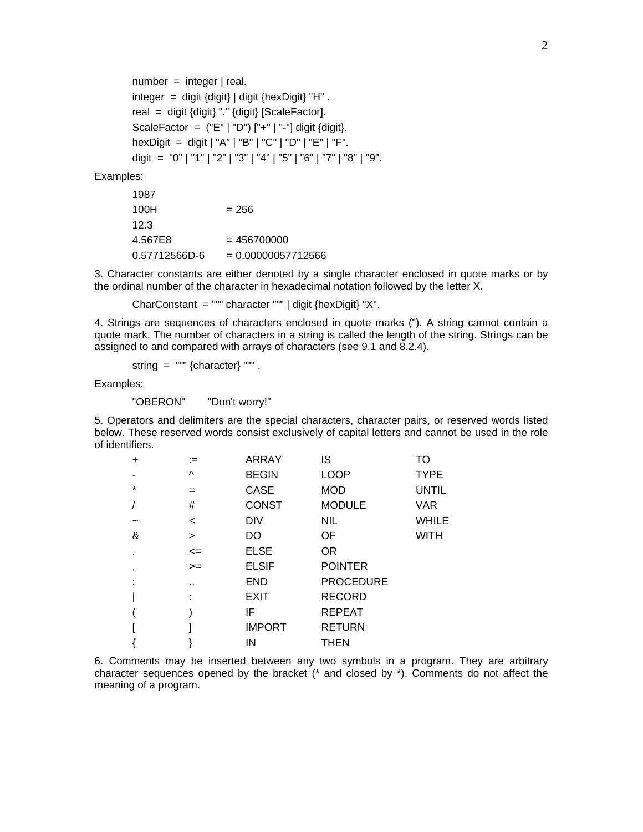```
number = integer | real.integer = digit \{digit\} | digit \{hexDigit\} "H".
 real = digit {digit} "." {digit} [ScaleFactor]. 
ScaleFactor = ("E" | "D") ['++" | "-"] digit {digit}. hexDigit = digit | "A" | "B" | "C" | "D" | "E" | "F". 
digit = "0" | "1" | "2" | "3" | "4" | "5" | "6" | "7" | "8" | "9".
```
Examples:

| 1987          |                      |
|---------------|----------------------|
| 100H          | $= 256$              |
| 12.3          |                      |
| 4.567E8       | $= 456700000$        |
| 0.57712566D-6 | $= 0.00000057712566$ |

3. Character constants are either denoted by a single character enclosed in quote marks or by the ordinal number of the character in hexadecimal notation followed by the letter X.

CharConstant = """ character """ | digit {hexDigit} "X".

4. Strings are sequences of characters enclosed in quote marks ("). A string cannot contain a quote mark. The number of characters in a string is called the length of the string. Strings can be assigned to and compared with arrays of characters (see 9.1 and 8.2.4).

string = """ {character} """ .

Examples:

"OBERON" "Don't worry!"

5. Operators and delimiters are the special characters, character pairs, or reserved words listed below. These reserved words consist exclusively of capital letters and cannot be used in the role of identifiers.

| $\ddot{}$ | $:=$   | <b>ARRAY</b>  | IS               | TO           |
|-----------|--------|---------------|------------------|--------------|
|           | Λ      | <b>BEGIN</b>  | <b>LOOP</b>      | <b>TYPE</b>  |
| $\star$   | $=$    | <b>CASE</b>   | <b>MOD</b>       | <b>UNTIL</b> |
| 7         | #      | <b>CONST</b>  | <b>MODULE</b>    | <b>VAR</b>   |
|           | <      | <b>DIV</b>    | <b>NIL</b>       | <b>WHILE</b> |
| &         | >      | DO            | OF               | <b>WITH</b>  |
| ٠         | $\leq$ | <b>ELSE</b>   | <b>OR</b>        |              |
| ,         | $>=$   | <b>ELSIF</b>  | <b>POINTER</b>   |              |
|           |        | <b>END</b>    | <b>PROCEDURE</b> |              |
|           |        | <b>EXIT</b>   | <b>RECORD</b>    |              |
|           |        | IF            | <b>REPEAT</b>    |              |
|           |        | <b>IMPORT</b> | <b>RETURN</b>    |              |
|           |        | IN            | THEN             |              |

6. Comments may be inserted between any two symbols in a program. They are arbitrary character sequences opened by the bracket (\* and closed by \*). Comments do not affect the meaning of a program.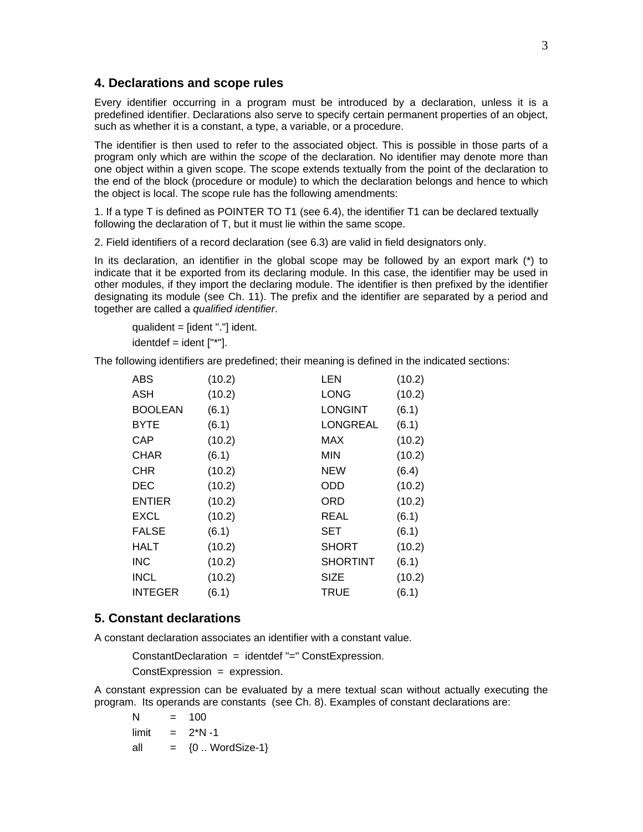## **4. Declarations and scope rules**

Every identifier occurring in a program must be introduced by a declaration, unless it is a predefined identifier. Declarations also serve to specify certain permanent properties of an object, such as whether it is a constant, a type, a variable, or a procedure.

The identifier is then used to refer to the associated object. This is possible in those parts of a program only which are within the *scope* of the declaration. No identifier may denote more than one object within a given scope. The scope extends textually from the point of the declaration to the end of the block (procedure or module) to which the declaration belongs and hence to which the object is local. The scope rule has the following amendments:

1. If a type T is defined as POINTER TO T1 (see 6.4), the identifier T1 can be declared textually following the declaration of T, but it must lie within the same scope.

2. Field identifiers of a record declaration (see 6.3) are valid in field designators only.

In its declaration, an identifier in the global scope may be followed by an export mark  $(*)$  to indicate that it be exported from its declaring module. In this case, the identifier may be used in other modules, if they import the declaring module. The identifier is then prefixed by the identifier designating its module (see Ch. 11). The prefix and the identifier are separated by a period and together are called a *qualified identifier*.

qualident  $=$  [ident  $"$ ."] ident.  $identdef = ident [""].$ 

The following identifiers are predefined; their meaning is defined in the indicated sections:

| <b>ABS</b>     | (10.2) | <b>LEN</b>      | (10.2) |
|----------------|--------|-----------------|--------|
| <b>ASH</b>     | (10.2) | <b>LONG</b>     | (10.2) |
| <b>BOOLEAN</b> | (6.1)  | <b>LONGINT</b>  | (6.1)  |
| <b>BYTE</b>    | (6.1)  | <b>LONGREAL</b> | (6.1)  |
| <b>CAP</b>     | (10.2) | MAX             | (10.2) |
| <b>CHAR</b>    | (6.1)  | MIN             | (10.2) |
| <b>CHR</b>     | (10.2) | <b>NEW</b>      | (6.4)  |
| <b>DEC</b>     | (10.2) | <b>ODD</b>      | (10.2) |
| <b>ENTIER</b>  | (10.2) | <b>ORD</b>      | (10.2) |
| <b>EXCL</b>    | (10.2) | REAL            | (6.1)  |
| <b>FALSE</b>   | (6.1)  | SET             | (6.1)  |
| HALT           | (10.2) | <b>SHORT</b>    | (10.2) |
| <b>INC</b>     | (10.2) | <b>SHORTINT</b> | (6.1)  |
| <b>INCL</b>    | (10.2) | <b>SIZE</b>     | (10.2) |
| <b>INTEGER</b> | (6.1)  | TRUE            | (6.1)  |
|                |        |                 |        |

# **5. Constant declarations**

A constant declaration associates an identifier with a constant value.

 ConstantDeclaration = identdef "=" ConstExpression. ConstExpression = expression.

A constant expression can be evaluated by a mere textual scan without actually executing the program. Its operands are constants (see Ch. 8). Examples of constant declarations are:

 $N = 100$  $limit = 2*N-1$ all  $= \{0..$  WordSize-1 $\}$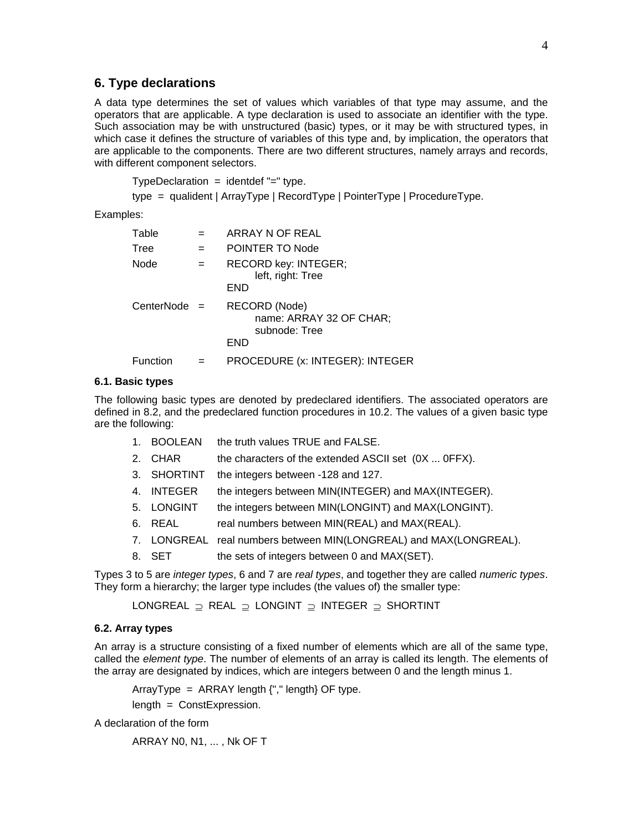## **6. Type declarations**

A data type determines the set of values which variables of that type may assume, and the operators that are applicable. A type declaration is used to associate an identifier with the type. Such association may be with unstructured (basic) types, or it may be with structured types, in which case it defines the structure of variables of this type and, by implication, the operators that are applicable to the components. There are two different structures, namely arrays and records, with different component selectors.

TypeDeclaration = identdef  $"="$  type.

type = qualident | ArrayType | RecordType | PointerType | ProcedureType.

Examples:

| Table          |     | ARRAY N OF REAL                                                  |
|----------------|-----|------------------------------------------------------------------|
| Tree           | $=$ | POINTER TO Node                                                  |
| Node           | $=$ | RECORD key: INTEGER;<br>left, right: Tree<br>END                 |
| $CenterNode =$ |     | RECORD (Node)<br>name: ARRAY 32 OF CHAR;<br>subnode: Tree<br>END |
| Function       |     | PROCEDURE (x: INTEGER): INTEGER                                  |

#### **6.1. Basic types**

The following basic types are denoted by predeclared identifiers. The associated operators are defined in 8.2, and the predeclared function procedures in 10.2. The values of a given basic type are the following:

- 1. BOOLEAN the truth values TRUE and FALSE.
- 2. CHAR the characters of the extended ASCII set (0X ... 0FFX).
- 3. SHORTINT the integers between -128 and 127.
- 4. INTEGER the integers between MIN(INTEGER) and MAX(INTEGER).
- 5. LONGINT the integers between MIN(LONGINT) and MAX(LONGINT).
- 6. REAL real numbers between MIN(REAL) and MAX(REAL).
- 7. LONGREAL real numbers between MIN(LONGREAL) and MAX(LONGREAL).
- 8. SET the sets of integers between 0 and MAX(SET).

Types 3 to 5 are *integer types*, 6 and 7 are *real types*, and together they are called *numeric types*. They form a hierarchy; the larger type includes (the values of) the smaller type:

LONGREAL ⊇ REAL ⊇ LONGINT ⊇ INTEGER ⊇ SHORTINT

#### **6.2. Array types**

An array is a structure consisting of a fixed number of elements which are all of the same type, called the *element type*. The number of elements of an array is called its length. The elements of the array are designated by indices, which are integers between 0 and the length minus 1.

ArrayType =  $ARRAY$  length  $\{$ "," length $\}$  OF type.

length = ConstExpression.

A declaration of the form

ARRAY N0, N1, ... , Nk OF T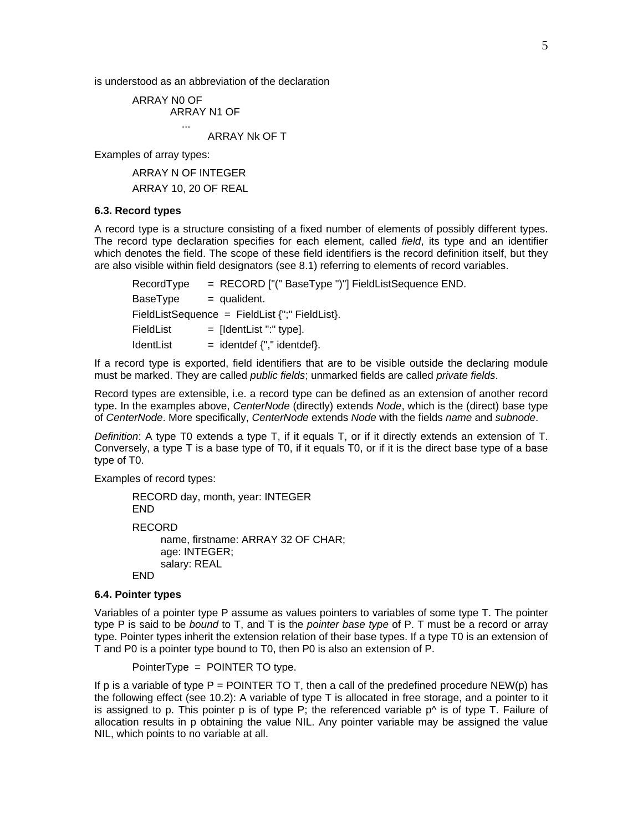is understood as an abbreviation of the declaration

ARRAY N0 OF ARRAY N1 OF ...

ARRAY Nk OF T

Examples of array types:

ARRAY N OF INTEGER ARRAY 10, 20 OF REAL

#### **6.3. Record types**

A record type is a structure consisting of a fixed number of elements of possibly different types. The record type declaration specifies for each element, called *field*, its type and an identifier which denotes the field. The scope of these field identifiers is the record definition itself, but they are also visible within field designators (see 8.1) referring to elements of record variables.

| RecordType       | = RECORD ["(" BaseType ")"] FieldListSequence END.           |
|------------------|--------------------------------------------------------------|
| BaseType         | $=$ qualident.                                               |
|                  | FieldListSequence = FieldList $\{\cdot\}$ : FieldList $\}$ . |
| FieldList        | $=$ [IdentList ":" type].                                    |
| <b>IdentList</b> | $=$ identdef $\{$ "," identdef $\}$ .                        |

If a record type is exported, field identifiers that are to be visible outside the declaring module must be marked. They are called *public fields*; unmarked fields are called *private fields*.

Record types are extensible, i.e. a record type can be defined as an extension of another record type. In the examples above, *CenterNode* (directly) extends *Node*, which is the (direct) base type of *CenterNode*. More specifically, *CenterNode* extends *Node* with the fields *name* and *subnode*.

*Definition*: A type T0 extends a type T, if it equals T, or if it directly extends an extension of T. Conversely, a type T is a base type of T0, if it equals T0, or if it is the direct base type of a base type of T0.

Examples of record types:

```
RECORD day, month, year: INTEGER 
END 
RECORD 
      name, firstname: ARRAY 32 OF CHAR; 
      age: INTEGER; 
      salary: REAL
```
END

## **6.4. Pointer types**

Variables of a pointer type P assume as values pointers to variables of some type T. The pointer type P is said to be *bound* to T, and T is the *pointer base type* of P. T must be a record or array type. Pointer types inherit the extension relation of their base types. If a type T0 is an extension of T and P0 is a pointer type bound to T0, then P0 is also an extension of P.

PointerType = POINTER TO type.

If p is a variable of type  $P = P$ OINTER TO T, then a call of the predefined procedure NEW(p) has the following effect (see 10.2): A variable of type T is allocated in free storage, and a pointer to it is assigned to p. This pointer p is of type P; the referenced variable p^ is of type T. Failure of allocation results in p obtaining the value NIL. Any pointer variable may be assigned the value NIL, which points to no variable at all.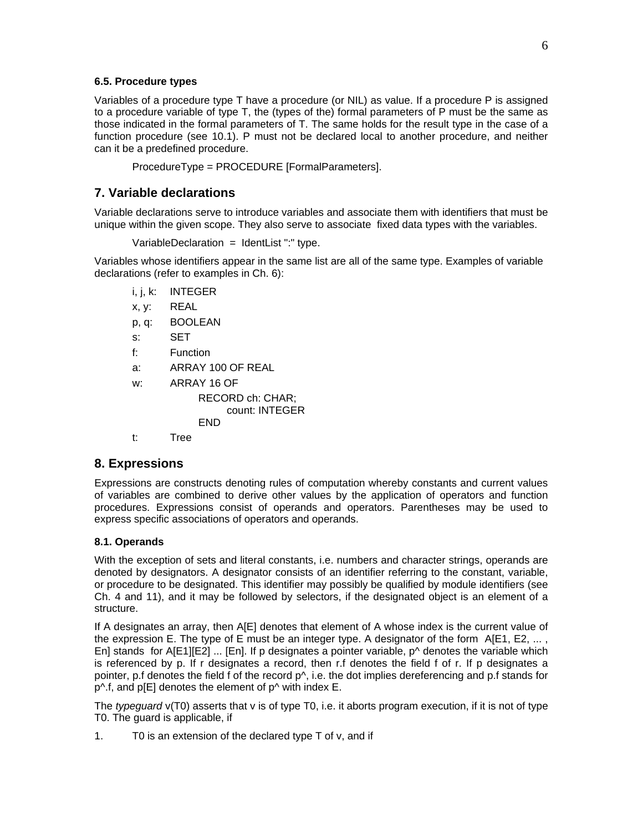## **6.5. Procedure types**

Variables of a procedure type T have a procedure (or NIL) as value. If a procedure P is assigned to a procedure variable of type T, the (types of the) formal parameters of P must be the same as those indicated in the formal parameters of T. The same holds for the result type in the case of a function procedure (see 10.1). P must not be declared local to another procedure, and neither can it be a predefined procedure.

ProcedureType = PROCEDURE [FormalParameters].

# **7. Variable declarations**

Variable declarations serve to introduce variables and associate them with identifiers that must be unique within the given scope. They also serve to associate fixed data types with the variables.

 $Variable Declaration = IdentList ": "type.$ 

Variables whose identifiers appear in the same list are all of the same type. Examples of variable declarations (refer to examples in Ch. 6):

- i, j, k: INTEGER x, y: REAL p, q: BOOLEAN s: SET f: Function a: ARRAY 100 OF REAL w: ARRAY 16 OF RECORD ch: CHAR; count: INTEGER END
- t: Tree

# **8. Expressions**

Expressions are constructs denoting rules of computation whereby constants and current values of variables are combined to derive other values by the application of operators and function procedures. Expressions consist of operands and operators. Parentheses may be used to express specific associations of operators and operands.

# **8.1. Operands**

With the exception of sets and literal constants, i.e. numbers and character strings, operands are denoted by designators. A designator consists of an identifier referring to the constant, variable, or procedure to be designated. This identifier may possibly be qualified by module identifiers (see Ch. 4 and 11), and it may be followed by selectors, if the designated object is an element of a structure.

If A designates an array, then A[E] denotes that element of A whose index is the current value of the expression E. The type of E must be an integer type. A designator of the form  $A$ [E1, E2, ..., En] stands for  $A[E1][E2]$  ... [En]. If p designates a pointer variable,  $p^A$  denotes the variable which is referenced by p. If r designates a record, then r.f denotes the field f of r. If p designates a pointer, p.f denotes the field f of the record  $p^{\wedge}$ , i.e. the dot implies dereferencing and p.f stands for  $p^{\wedge}$ .f, and  $p[E]$  denotes the element of  $p^{\wedge}$  with index E.

The *typeguard* v(T0) asserts that v is of type T0, i.e. it aborts program execution, if it is not of type T0. The guard is applicable, if

1. T0 is an extension of the declared type T of v, and if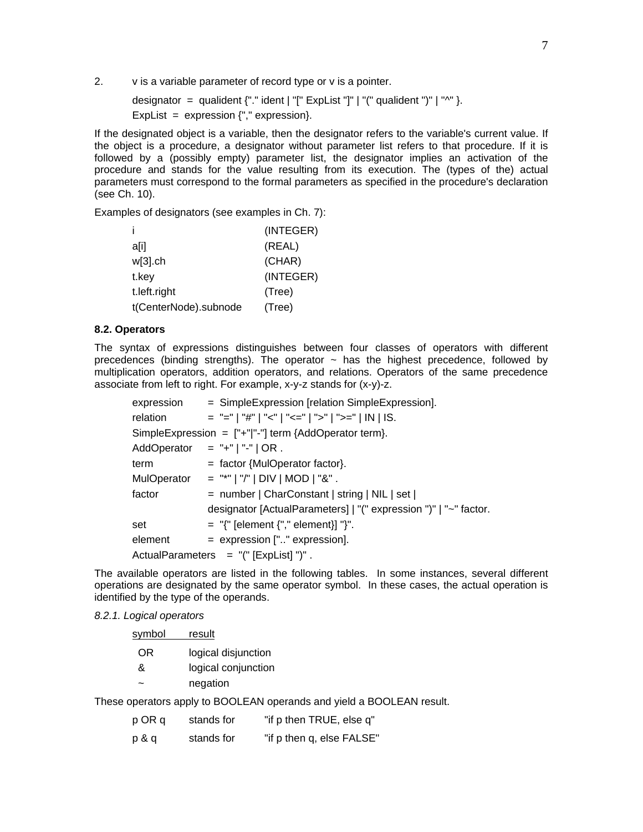2. v is a variable parameter of record type or v is a pointer.

designator = qualident  ${$ }"." ident  $|$  "[" ExpList "]"  $|$  " $($ " qualident " $)$ "  $|$  " $\wedge$ "  $\rangle$ . ExpList = expression {"," expression}.

If the designated object is a variable, then the designator refers to the variable's current value. If the object is a procedure, a designator without parameter list refers to that procedure. If it is followed by a (possibly empty) parameter list, the designator implies an activation of the procedure and stands for the value resulting from its execution. The (types of the) actual parameters must correspond to the formal parameters as specified in the procedure's declaration (see Ch. 10).

Examples of designators (see examples in Ch. 7):

|                       | (INTEGER) |
|-----------------------|-----------|
| a[i]                  | (REAL)    |
| $w[3]$ .ch            | (CHAR)    |
| t.key                 | (INTEGER) |
| t.left.right          | (Tree)    |
| t(CenterNode).subnode | (Tree)    |

## **8.2. Operators**

The syntax of expressions distinguishes between four classes of operators with different precedences (binding strengths). The operator  $\sim$  has the highest precedence, followed by multiplication operators, addition operators, and relations. Operators of the same precedence associate from left to right. For example, x-y-z stands for (x-y)-z.

| = SimpleExpression [relation SimpleExpression].                  |
|------------------------------------------------------------------|
| $=$ "="   "#"   "<"   "<="   ">"   ">="   IN   IS.               |
| SimpleExpression = $\lceil$ "+" "-"] term {AddOperator term}.    |
| AddOperator = "+"   "-"   OR.                                    |
| $=$ factor {MulOperator factor}.                                 |
| $=$ "*"   "/"   DIV   MOD   "&".                                 |
| $=$ number   CharConstant   string   NIL   set                   |
| designator [ActualParameters]   "(" expression ")"   "~" factor. |
| $=$ "{" [element {"," element}] "}".                             |
| = expression ["" expression].                                    |
| ActualParameters $=$ "(" [ExpList] ")".                          |
|                                                                  |

The available operators are listed in the following tables. In some instances, several different operations are designated by the same operator symbol. In these cases, the actual operation is identified by the type of the operands.

#### *8.2.1. Logical operators*

| symbol | result              |
|--------|---------------------|
| OR.    | logical disjunction |
| &      | logical conjunction |
|        | negation            |
|        |                     |

These operators apply to BOOLEAN operands and yield a BOOLEAN result.

| p OR q | stands for | "if p then TRUE, else q"  |
|--------|------------|---------------------------|
| p & q  | stands for | "if p then q, else FALSE" |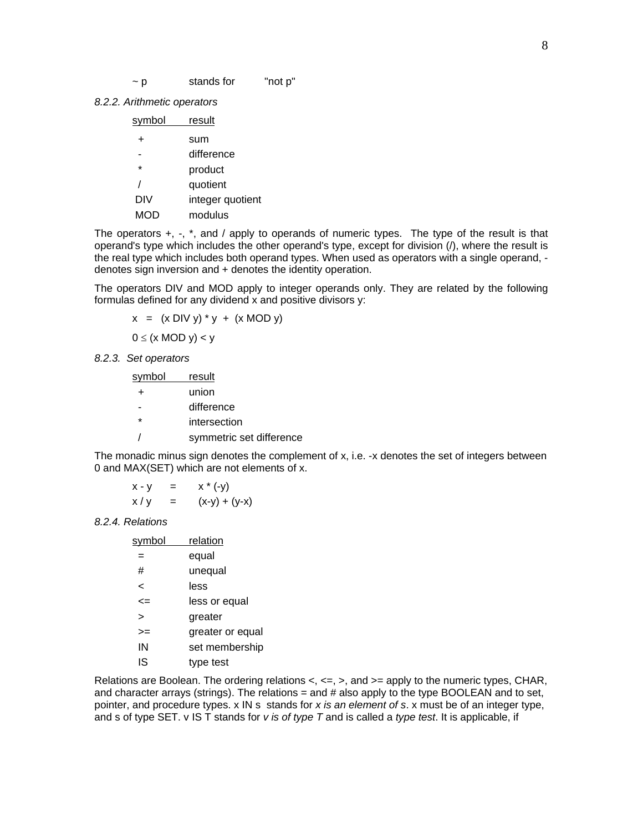## $\sim p$  stands for "not  $p$ "

*8.2.2. Arithmetic operators* 

| symbol  | result           |
|---------|------------------|
| +       | sum              |
|         | difference       |
| $\star$ | product          |
|         | quotient         |
| DIV     | integer quotient |
| MOD     | modulus          |

The operators  $+$ ,  $-$ ,  $*$ , and / apply to operands of numeric types. The type of the result is that operand's type which includes the other operand's type, except for division (/), where the result is the real type which includes both operand types. When used as operators with a single operand, denotes sign inversion and + denotes the identity operation.

The operators DIV and MOD apply to integer operands only. They are related by the following formulas defined for any dividend x and positive divisors y:

$$
x = (x \text{ DIV } y) * y + (x \text{ MOD } y)
$$

 $0 \leq (x \text{ MOD } y) < y$ 

*8.2.3. Set operators* 

| result                   |
|--------------------------|
| union                    |
| difference               |
| intersection             |
| symmetric set difference |
|                          |

The monadic minus sign denotes the complement of x, i.e. -x denotes the set of integers between 0 and MAX(SET) which are not elements of x.

| x - y | - | $x * (-y)$      |
|-------|---|-----------------|
| x / y | = | $(x-y) + (y-x)$ |

*8.2.4. Relations* 

| <u>symbol</u> | relation         |
|---------------|------------------|
|               | equal            |
| #             | unequal          |
| $\prec$       | less             |
| <=            | less or equal    |
| $\geq$        | greater          |
| >=            | greater or equal |
| IN            | set membership   |
| IS            | type test        |

Relations are Boolean. The ordering relations  $\lt$ ,  $\lt$  =,  $\gt$ , and  $\gt$  = apply to the numeric types, CHAR, and character arrays (strings). The relations  $=$  and  $#$  also apply to the type BOOLEAN and to set, pointer, and procedure types. x IN s stands for *x is an element of s*. x must be of an integer type, and s of type SET. v IS T stands for *v is of type T* and is called a *type test*. It is applicable, if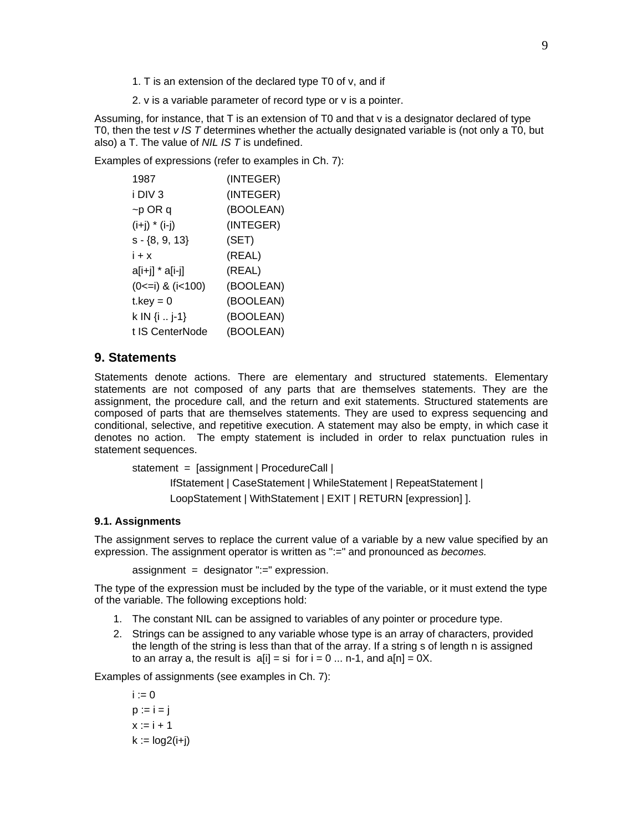- 1. T is an extension of the declared type T0 of v, and if
- 2. v is a variable parameter of record type or v is a pointer.

Assuming, for instance, that T is an extension of T0 and that v is a designator declared of type T0, then the test *v IS T* determines whether the actually designated variable is (not only a T0, but also) a T. The value of *NIL IS T* is undefined.

Examples of expressions (refer to examples in Ch. 7):

| 1987                        | (INTEGER) |
|-----------------------------|-----------|
| i DIV 3                     | (INTEGER) |
| $\neg p$ OR q               | (BOOLEAN) |
| $(i+j) * (i-j)$             | (INTEGER) |
| $s - \{8, 9, 13\}$          | (SET)     |
| i + x                       | (REAL)    |
| a[i+j] * a[i-j]             | (REAL)    |
| $(0 \le i)$ & $(i \le 100)$ | (BOOLEAN) |
| $t.$ key = 0                | (BOOLEAN) |
| k IN {i  j-1}               | (BOOLEAN) |
| t IS CenterNode             | (BOOLEAN) |

# **9. Statements**

Statements denote actions. There are elementary and structured statements. Elementary statements are not composed of any parts that are themselves statements. They are the assignment, the procedure call, and the return and exit statements. Structured statements are composed of parts that are themselves statements. They are used to express sequencing and conditional, selective, and repetitive execution. A statement may also be empty, in which case it denotes no action. The empty statement is included in order to relax punctuation rules in statement sequences.

 statement = [assignment | ProcedureCall | IfStatement | CaseStatement | WhileStatement | RepeatStatement | LoopStatement | WithStatement | EXIT | RETURN [expression] ].

## **9.1. Assignments**

The assignment serves to replace the current value of a variable by a new value specified by an expression. The assignment operator is written as ":=" and pronounced as *becomes.*

assignment = designator  $":="$  expression.

The type of the expression must be included by the type of the variable, or it must extend the type of the variable. The following exceptions hold:

- 1. The constant NIL can be assigned to variables of any pointer or procedure type.
- 2. Strings can be assigned to any variable whose type is an array of characters, provided the length of the string is less than that of the array. If a string s of length n is assigned to an array a, the result is  $a[i] = si$  for  $i = 0 ... n-1$ , and  $a[n] = 0X$ .

Examples of assignments (see examples in Ch. 7):

 $i := 0$  $p := i = j$  $x := i + 1$  $k := log2(i+j)$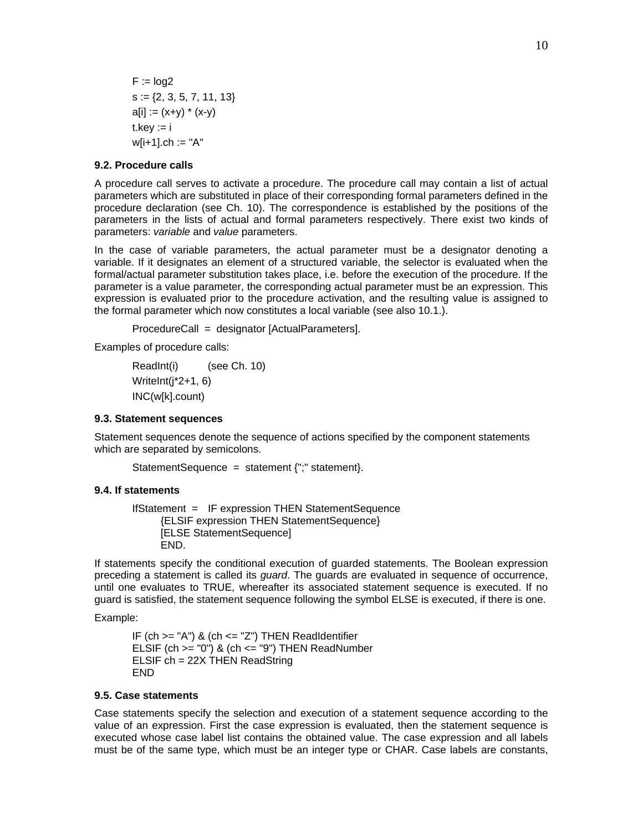$F := \log 2$  $s := \{2, 3, 5, 7, 11, 13\}$  $a[i] := (x+y) * (x-y)$  $t.$ key :=  $i$  $w[i+1].$ ch := "A"

#### **9.2. Procedure calls**

A procedure call serves to activate a procedure. The procedure call may contain a list of actual parameters which are substituted in place of their corresponding formal parameters defined in the procedure declaration (see Ch. 10). The correspondence is established by the positions of the parameters in the lists of actual and formal parameters respectively. There exist two kinds of parameters: *variable* and *value* parameters.

In the case of variable parameters, the actual parameter must be a designator denoting a variable. If it designates an element of a structured variable, the selector is evaluated when the formal/actual parameter substitution takes place, i.e. before the execution of the procedure. If the parameter is a value parameter, the corresponding actual parameter must be an expression. This expression is evaluated prior to the procedure activation, and the resulting value is assigned to the formal parameter which now constitutes a local variable (see also 10.1.).

ProcedureCall = designator [ActualParameters].

Examples of procedure calls:

ReadInt(i) (see Ch. 10) WriteInt(j\*2+1, 6) INC(w[k].count)

#### **9.3. Statement sequences**

Statement sequences denote the sequence of actions specified by the component statements which are separated by semicolons.

StatementSequence = statement  ${''}$ ;" statement $}$ .

## **9.4. If statements**

IfStatement = IF expression THEN StatementSequence {ELSIF expression THEN StatementSequence} [ELSE StatementSequence] END.

If statements specify the conditional execution of guarded statements. The Boolean expression preceding a statement is called its *guard*. The guards are evaluated in sequence of occurrence, until one evaluates to TRUE, whereafter its associated statement sequence is executed. If no guard is satisfied, the statement sequence following the symbol ELSE is executed, if there is one.

Example:

IF (ch  $>=$  "A") & (ch  $<=$  "Z") THEN ReadIdentifier ELSIF (ch  $>=$  "0") & (ch  $<=$  "9") THEN ReadNumber ELSIF ch = 22X THEN ReadString END

### **9.5. Case statements**

Case statements specify the selection and execution of a statement sequence according to the value of an expression. First the case expression is evaluated, then the statement sequence is executed whose case label list contains the obtained value. The case expression and all labels must be of the same type, which must be an integer type or CHAR. Case labels are constants,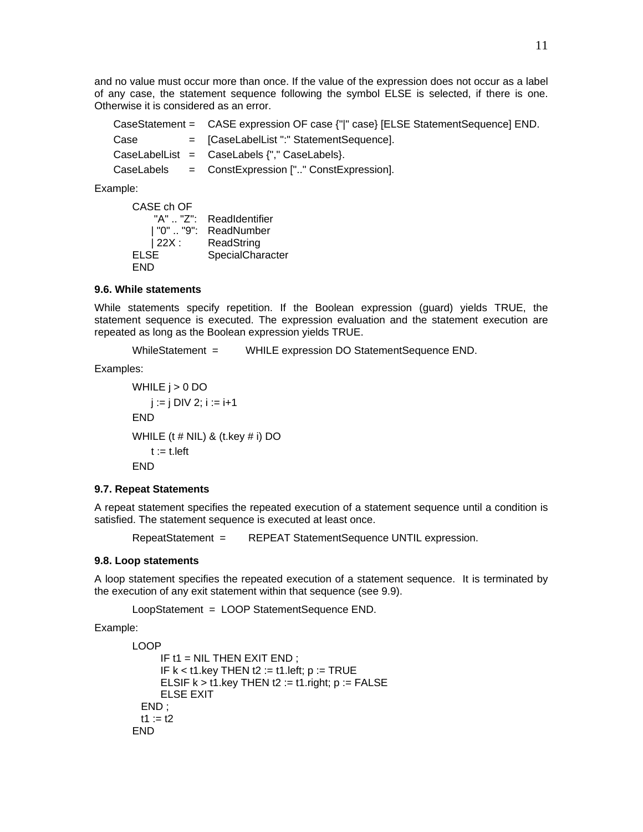and no value must occur more than once. If the value of the expression does not occur as a label of any case, the statement sequence following the symbol ELSE is selected, if there is one. Otherwise it is considered as an error.

|      | CaseStatement = CASE expression OF case {" " case} [ELSE StatementSequence] END. |
|------|----------------------------------------------------------------------------------|
| Case | = [CaseLabelList ":" StatementSequence].                                         |
|      | $\text{CaseLabelList} = \text{CaseLabels}$ {"," $\text{CaseLabels}$ }.           |
|      | CaseLabels = ConstExpression ["" ConstExpression].                               |

Example:

```
CASE ch OF 
     "A" .. "Z": ReadIdentifier 
    | "0" .. "9": ReadNumber<br>| 22X : ReadString
                 ReadString
ELSE SpecialCharacter 
END
```
# **9.6. While statements**

While statements specify repetition. If the Boolean expression (guard) yields TRUE, the statement sequence is executed. The expression evaluation and the statement execution are repeated as long as the Boolean expression yields TRUE.

WhileStatement = WHILE expression DO StatementSequence END.

Examples:

WHILE  $j > 0$  DO  $j := j$  DIV 2;  $i := i + 1$ END WHILE (t # NIL) & (t.key # i) DO  $t := t$ . left END

## **9.7. Repeat Statements**

A repeat statement specifies the repeated execution of a statement sequence until a condition is satisfied. The statement sequence is executed at least once.

RepeatStatement = REPEAT StatementSequence UNTIL expression.

## **9.8. Loop statements**

A loop statement specifies the repeated execution of a statement sequence. It is terminated by the execution of any exit statement within that sequence (see 9.9).

LoopStatement = LOOP StatementSequence END.

Example:

```
LOOP 
       IF t1 = NIL THEN EXIT END ; 
      IF k < t1.key THEN t2 := t1.left; p := TRUEELSIF k > t1. key THEN t2 := t1. right; p := FALSE ELSE EXIT 
   END ; 
 t1 := t2END
```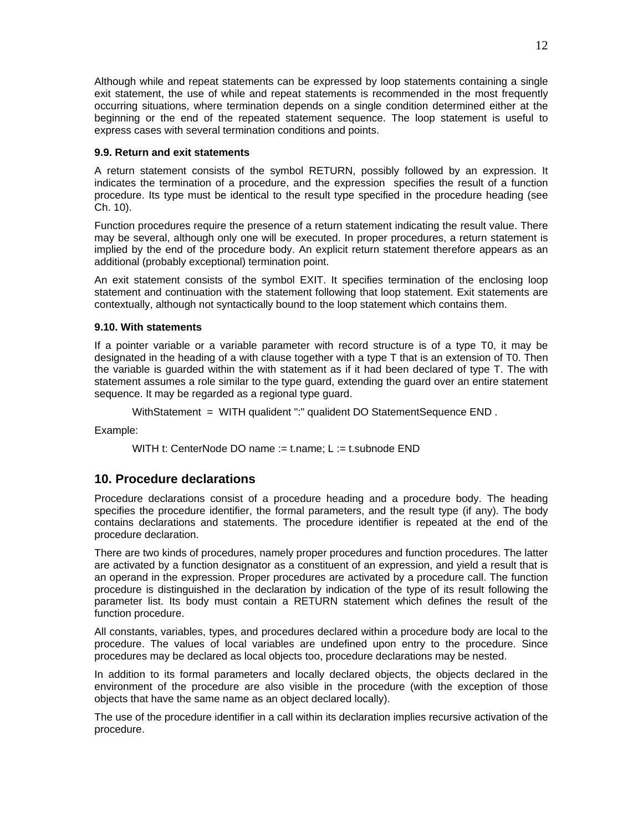Although while and repeat statements can be expressed by loop statements containing a single exit statement, the use of while and repeat statements is recommended in the most frequently occurring situations, where termination depends on a single condition determined either at the beginning or the end of the repeated statement sequence. The loop statement is useful to express cases with several termination conditions and points.

## **9.9. Return and exit statements**

A return statement consists of the symbol RETURN, possibly followed by an expression. It indicates the termination of a procedure, and the expression specifies the result of a function procedure. Its type must be identical to the result type specified in the procedure heading (see Ch. 10).

Function procedures require the presence of a return statement indicating the result value. There may be several, although only one will be executed. In proper procedures, a return statement is implied by the end of the procedure body. An explicit return statement therefore appears as an additional (probably exceptional) termination point.

An exit statement consists of the symbol EXIT. It specifies termination of the enclosing loop statement and continuation with the statement following that loop statement. Exit statements are contextually, although not syntactically bound to the loop statement which contains them.

## **9.10. With statements**

If a pointer variable or a variable parameter with record structure is of a type T0, it may be designated in the heading of a with clause together with a type T that is an extension of T0. Then the variable is guarded within the with statement as if it had been declared of type T. The with statement assumes a role similar to the type guard, extending the guard over an entire statement sequence. It may be regarded as a regional type guard.

WithStatement = WITH qualident ":" qualident DO StatementSequence END.

Example:

WITH t: CenterNode DO name := t.name: L := t.subnode END

# **10. Procedure declarations**

Procedure declarations consist of a procedure heading and a procedure body. The heading specifies the procedure identifier, the formal parameters, and the result type (if any). The body contains declarations and statements. The procedure identifier is repeated at the end of the procedure declaration.

There are two kinds of procedures, namely proper procedures and function procedures. The latter are activated by a function designator as a constituent of an expression, and yield a result that is an operand in the expression. Proper procedures are activated by a procedure call. The function procedure is distinguished in the declaration by indication of the type of its result following the parameter list. Its body must contain a RETURN statement which defines the result of the function procedure.

All constants, variables, types, and procedures declared within a procedure body are local to the procedure. The values of local variables are undefined upon entry to the procedure. Since procedures may be declared as local objects too, procedure declarations may be nested.

In addition to its formal parameters and locally declared objects, the objects declared in the environment of the procedure are also visible in the procedure (with the exception of those objects that have the same name as an object declared locally).

The use of the procedure identifier in a call within its declaration implies recursive activation of the procedure.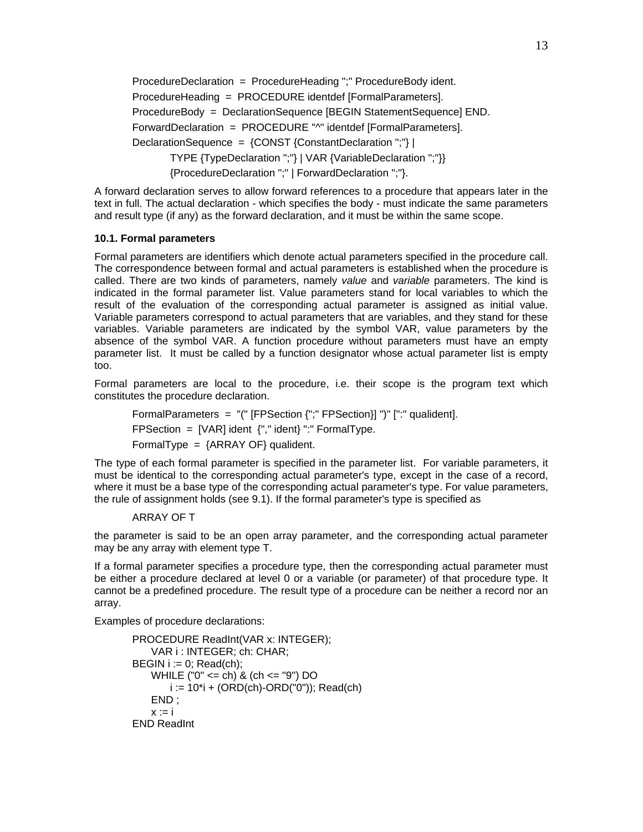ProcedureDeclaration = ProcedureHeading ";" ProcedureBody ident. ProcedureHeading = PROCEDURE identdef [FormalParameters]. ProcedureBody = DeclarationSequence [BEGIN StatementSequence] END. ForwardDeclaration = PROCEDURE "^" identdef [FormalParameters]. DeclarationSequence = {CONST {ConstantDeclaration ";"} | TYPE {TypeDeclaration ";"} | VAR {VariableDeclaration ";"}} {ProcedureDeclaration ";" | ForwardDeclaration ";"}.

A forward declaration serves to allow forward references to a procedure that appears later in the text in full. The actual declaration - which specifies the body - must indicate the same parameters and result type (if any) as the forward declaration, and it must be within the same scope.

## **10.1. Formal parameters**

Formal parameters are identifiers which denote actual parameters specified in the procedure call. The correspondence between formal and actual parameters is established when the procedure is called. There are two kinds of parameters, namely *value* and *variable* parameters. The kind is indicated in the formal parameter list. Value parameters stand for local variables to which the result of the evaluation of the corresponding actual parameter is assigned as initial value. Variable parameters correspond to actual parameters that are variables, and they stand for these variables. Variable parameters are indicated by the symbol VAR, value parameters by the absence of the symbol VAR. A function procedure without parameters must have an empty parameter list. It must be called by a function designator whose actual parameter list is empty too.

Formal parameters are local to the procedure, i.e. their scope is the program text which constitutes the procedure declaration.

FormalParameters = "(" [FPSection {";" FPSection}] ")" [":" qualident]. FPSection =  $[VAR]$  ident  $\{",\}$  ident $\}$  ":" FormalType. FormalType =  ${ARRAY OF}$  qualident.

The type of each formal parameter is specified in the parameter list. For variable parameters, it must be identical to the corresponding actual parameter's type, except in the case of a record, where it must be a base type of the corresponding actual parameter's type. For value parameters, the rule of assignment holds (see 9.1). If the formal parameter's type is specified as

#### ARRAY OF T

the parameter is said to be an open array parameter, and the corresponding actual parameter may be any array with element type T.

If a formal parameter specifies a procedure type, then the corresponding actual parameter must be either a procedure declared at level 0 or a variable (or parameter) of that procedure type. It cannot be a predefined procedure. The result type of a procedure can be neither a record nor an array.

Examples of procedure declarations:

```
PROCEDURE ReadInt(VAR x: INTEGER); 
    VAR i : INTEGER; ch: CHAR; 
BEGIN i := 0; Read(ch);
    WHILE ("0" <= ch) & (ch <= "9") DO 
       i := 10^*i + (ORD(ch)-ORD("0")); Read(ch)
    END ; 
   x := iEND ReadInt
```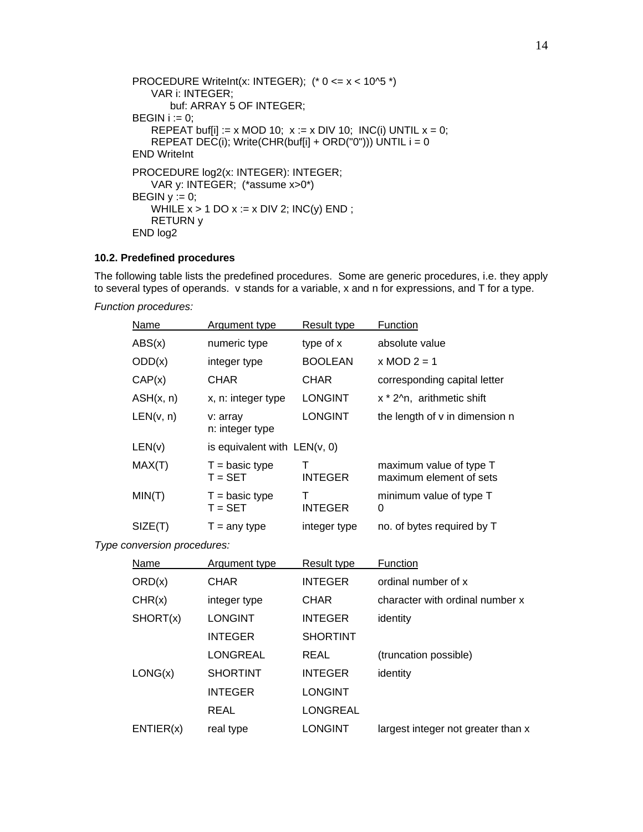```
PROCEDURE WriteInt(x: INTEGER); (^* 0 \le x \le 10^{10} *)
   VAR i: INTEGER; 
       buf: ARRAY 5 OF INTEGER; 
BEGIN i := 0:
   REPEAT buf[i] := x MOD 10; x := x DIV 10; INC(i) UNTIL x = 0;
   REPEAT DEC(i); Write(CHR(buf[i] + ORD("0"))) UNTIL i = 0END WriteInt 
PROCEDURE log2(x: INTEGER): INTEGER; 
   VAR y: INTEGER; (*assume x>0*) 
BEGIN y := 0;
   WHILE x > 1 DO x := x DIV 2; INC(y) END;
    RETURN y 
END log2
```
## **10.2. Predefined procedures**

The following table lists the predefined procedures. Some are generic procedures, i.e. they apply to several types of operands. v stands for a variable, x and n for expressions, and T for a type.

*Function procedures:* 

|                                          | Name                        | Argument type                 | Result type         | Function                                           |
|------------------------------------------|-----------------------------|-------------------------------|---------------------|----------------------------------------------------|
|                                          | ABS(x)                      | numeric type                  | type of x           | absolute value                                     |
|                                          | ODD(x)                      | integer type                  | <b>BOOLEAN</b>      | $x \text{ MOD } 2 = 1$                             |
|                                          | CAP(x)                      | <b>CHAR</b>                   | <b>CHAR</b>         | corresponding capital letter                       |
|                                          | ASH(x, n)                   | x, n: integer type            | <b>LONGINT</b>      | x * 2^n, arithmetic shift                          |
|                                          | LEN(v, n)                   | v: array<br>n: integer type   | <b>LONGINT</b>      | the length of v in dimension n                     |
| LEN(v)<br>is equivalent with $LEN(v, 0)$ |                             |                               |                     |                                                    |
|                                          | MAX(T)                      | $T = basic type$<br>$T = SET$ | т<br><b>INTEGER</b> | maximum value of type T<br>maximum element of sets |
|                                          | MIN(T)                      | $T = basic type$<br>$T = SET$ | т<br><b>INTEGER</b> | minimum value of type T<br>0                       |
|                                          | SIZE(T)                     | $T =$ any type                | integer type        | no. of bytes required by T                         |
|                                          | Type conversion procedures: |                               |                     |                                                    |
|                                          | Name                        | <b>Argument type</b>          | Result type         | Function                                           |
|                                          | ORD(x)                      | <b>CHAR</b>                   | <b>INTEGER</b>      | ordinal number of x                                |
|                                          | CHR(x)                      | integer type                  | CHAR                | character with ordinal number x                    |

LONGREAL REAL (truncation possible)

ENTIER(x) real type LONGINT largest integer not greater than x

SHORT(x) LONGINT INTEGER identity INTEGER SHORTINT

LONG(x) SHORTINT INTEGER identity INTEGER LONGINT REAL LONGREAL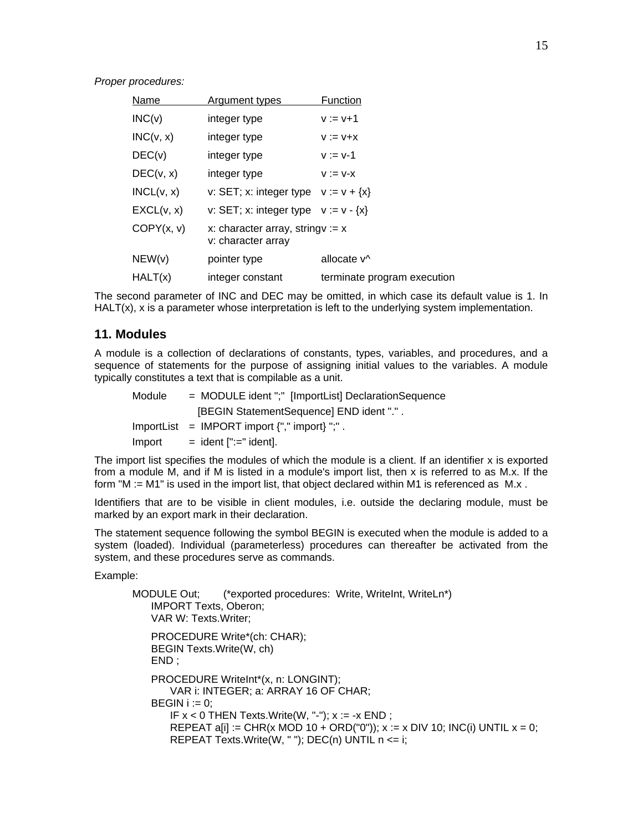*Proper procedures:* 

| Name       | Argument types                                           | Function                    |
|------------|----------------------------------------------------------|-----------------------------|
| INC(v)     | integer type                                             | $v := v + 1$                |
| INC(v, x)  | integer type                                             | $V := V + X$                |
| DEC(v)     | integer type                                             | $v := v - 1$                |
| DEC(v, x)  | integer type                                             | $V := V-X$                  |
| INCL(v, x) | v: SET; x: integer type $v := v + {x}$                   |                             |
| EXCL(v, x) | v: SET; x: integer type $v := v - {x}$                   |                             |
| COPY(x, v) | x: character array, string $x = x$<br>v: character array |                             |
| NEW(v)     | pointer type                                             | allocate v <sup>^</sup>     |
| HALT(x)    | integer constant                                         | terminate program execution |

The second parameter of INC and DEC may be omitted, in which case its default value is 1. In HALT(x), x is a parameter whose interpretation is left to the underlying system implementation.

## **11. Modules**

A module is a collection of declarations of constants, types, variables, and procedures, and a sequence of statements for the purpose of assigning initial values to the variables. A module typically constitutes a text that is compilable as a unit.

Module = MODULE ident ";" [ImportList] DeclarationSequence [BEGIN StatementSequence] END ident "." .  $ImportList = IMPORT import {'', " import} ''; "$ .  $Import = ident [":=" ident].$ 

The import list specifies the modules of which the module is a client. If an identifier x is exported from a module M, and if M is listed in a module's import list, then x is referred to as M.x. If the form "M := M1" is used in the import list, that object declared within M1 is referenced as M.x .

Identifiers that are to be visible in client modules, i.e. outside the declaring module, must be marked by an export mark in their declaration.

The statement sequence following the symbol BEGIN is executed when the module is added to a system (loaded). Individual (parameterless) procedures can thereafter be activated from the system, and these procedures serve as commands.

Example:

```
MODULE Out; (*exported procedures: Write, WriteInt, WriteLn*) 
    IMPORT Texts, Oberon; 
    VAR W: Texts.Writer; 
    PROCEDURE Write*(ch: CHAR); 
    BEGIN Texts.Write(W, ch) 
    END ; 
    PROCEDURE WriteInt*(x, n: LONGINT); 
        VAR i: INTEGER; a: ARRAY 16 OF CHAR; 
   \text{BEGIN} i := 0;
       IF x < 0 THEN Texts. Write(W, "-"); x := -x END;
       REPEAT a[i] := CHR(x MOD 10 + ORD("0")); x := x DIV 10; INC(i) UNTIL x = 0;
       REPEAT Texts. Write(W, " "); DEC(n) UNTIL n \leq i;
```